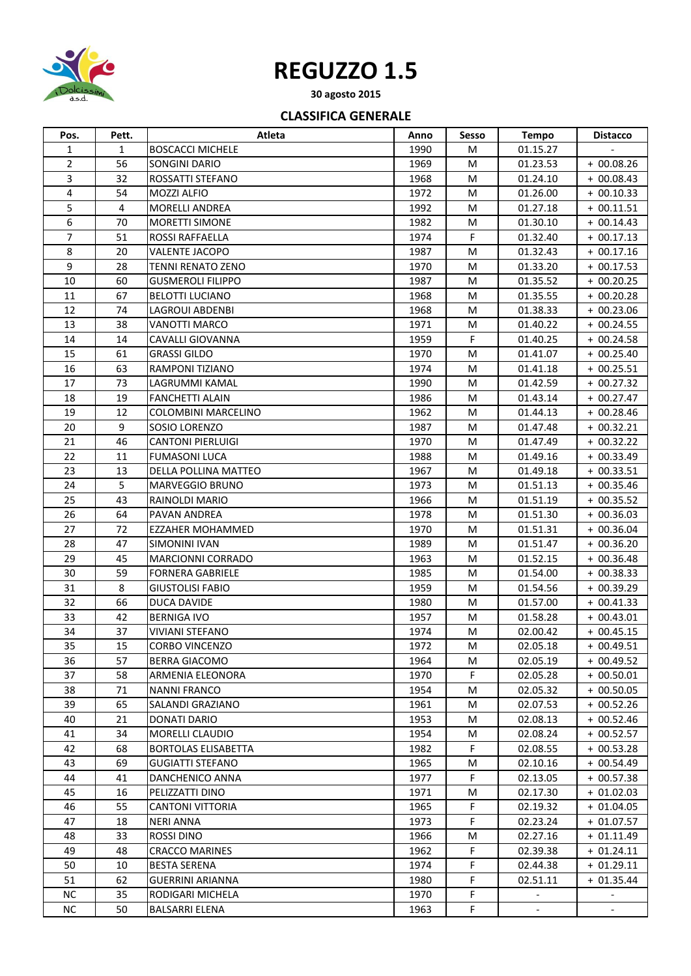

## **REGUZZO 1.5**

**30 agosto 2015**

## **CLASSIFICA GENERALE**

| Pos.             | Pett.            | Atleta                     | Anno | Sesso | <b>Tempo</b>             | <b>Distacco</b>          |
|------------------|------------------|----------------------------|------|-------|--------------------------|--------------------------|
| 1                | $\mathbf{1}$     | <b>BOSCACCI MICHELE</b>    | 1990 | М     | 01.15.27                 |                          |
| $\overline{2}$   | 56               | <b>SONGINI DARIO</b>       | 1969 | M     | 01.23.53                 | $+00.08.26$              |
| 3                | 32               | ROSSATTI STEFANO           | 1968 | M     | 01.24.10                 | $+00.08.43$              |
| 4                | 54               | MOZZI ALFIO                | 1972 | M     | 01.26.00                 | $+00.10.33$              |
| 5                | 4                | MORELLI ANDREA             | 1992 | M     | 01.27.18                 | + 00.11.51               |
| 6                | 70               | <b>MORETTI SIMONE</b>      | 1982 | M     | 01.30.10                 | $+00.14.43$              |
| 7                | 51               | ROSSI RAFFAELLA            | 1974 | F     | 01.32.40                 | $+00.17.13$              |
| 8                | 20               | VALENTE JACOPO             | 1987 | M     | 01.32.43                 | $+00.17.16$              |
| $\boldsymbol{9}$ | 28               | <b>TENNI RENATO ZENO</b>   | 1970 | M     | 01.33.20                 | $+00.17.53$              |
| 10               | 60               | <b>GUSMEROLI FILIPPO</b>   | 1987 | м     | 01.35.52                 | $+00.20.25$              |
| 11               | 67               | <b>BELOTTI LUCIANO</b>     | 1968 | м     | 01.35.55                 | $+00.20.28$              |
| 12               | 74               | <b>LAGROUI ABDENBI</b>     | 1968 | M     | 01.38.33                 | $+00.23.06$              |
| 13               | 38               | <b>VANOTTI MARCO</b>       | 1971 | M     | 01.40.22                 | $+00.24.55$              |
| 14               | 14               | <b>CAVALLI GIOVANNA</b>    | 1959 | F.    | 01.40.25                 | $+00.24.58$              |
| 15               | 61               | <b>GRASSI GILDO</b>        | 1970 | M     | 01.41.07                 | $+00.25.40$              |
| 16               | 63               | RAMPONI TIZIANO            | 1974 | м     | 01.41.18                 | $+00.25.51$              |
| 17               | 73               | LAGRUMMI KAMAL             | 1990 | M     | 01.42.59                 | $+00.27.32$              |
| 18               | 19               | <b>FANCHETTI ALAIN</b>     | 1986 | M     | 01.43.14                 | $+00.27.47$              |
| 19               | 12               | <b>COLOMBINI MARCELINO</b> | 1962 | M     | 01.44.13                 | $+00.28.46$              |
| 20               | $\boldsymbol{9}$ | SOSIO LORENZO              | 1987 | M     | 01.47.48                 | $+00.32.21$              |
| 21               | 46               | <b>CANTONI PIERLUIGI</b>   | 1970 | м     | 01.47.49                 | $+00.32.22$              |
| 22               | 11               | <b>FUMASONI LUCA</b>       | 1988 | м     | 01.49.16                 | $+00.33.49$              |
| 23               | 13               | DELLA POLLINA MATTEO       | 1967 | M     | 01.49.18                 | $+00.33.51$              |
| 24               | 5                | <b>MARVEGGIO BRUNO</b>     | 1973 | М     | 01.51.13                 | $+00.35.46$              |
| 25               | 43               | RAINOLDI MARIO             | 1966 | M     | 01.51.19                 | $+00.35.52$              |
| 26               | 64               | <b>PAVAN ANDREA</b>        | 1978 | м     | 01.51.30                 | $+00.36.03$              |
| 27               | 72               | <b>EZZAHER MOHAMMED</b>    | 1970 | M     | 01.51.31                 | $+00.36.04$              |
| 28               | 47               | SIMONINI IVAN              | 1989 | M     | 01.51.47                 | $+00.36.20$              |
| 29               | 45               | <b>MARCIONNI CORRADO</b>   | 1963 | M     | 01.52.15                 | $+00.36.48$              |
| 30               | 59               | <b>FORNERA GABRIELE</b>    | 1985 | м     | 01.54.00                 | $+00.38.33$              |
| 31               | 8                | <b>GIUSTOLISI FABIO</b>    | 1959 | м     | 01.54.56                 | $+00.39.29$              |
| 32               | 66               | DUCA DAVIDE                | 1980 | M     | 01.57.00                 | $+00.41.33$              |
| 33               | 42               | <b>BERNIGA IVO</b>         | 1957 | M     | 01.58.28                 | $+00.43.01$              |
| 34               | 37               | VIVIANI STEFANO            | 1974 | М     | 02.00.42                 | + 00.45.15               |
| 35               | 15               | <b>CORBO VINCENZO</b>      | 1972 | M     | 02.05.18                 | + 00.49.51               |
| 36               | 57               | <b>BERRA GIACOMO</b>       | 1964 | M     | 02.05.19                 | $+00.49.52$              |
| 37               | 58               | ARMENIA ELEONORA           | 1970 | F.    | 02.05.28                 | $+00.50.01$              |
| 38               | 71               | <b>NANNI FRANCO</b>        | 1954 | M     | 02.05.32                 | $+00.50.05$              |
| 39               | 65               | SALANDI GRAZIANO           | 1961 | М     | 02.07.53                 | $+00.52.26$              |
| 40               | 21               | DONATI DARIO               | 1953 | M     | 02.08.13                 | $+00.52.46$              |
| 41               | 34               | <b>MORELLI CLAUDIO</b>     | 1954 | М     | 02.08.24                 | $+00.52.57$              |
| 42               | 68               | <b>BORTOLAS ELISABETTA</b> | 1982 | F.    | 02.08.55                 | $+00.53.28$              |
| 43               | 69               | <b>GUGIATTI STEFANO</b>    | 1965 | M     | 02.10.16                 | $+00.54.49$              |
| 44               | 41               | DANCHENICO ANNA            | 1977 | F.    | 02.13.05                 | $+00.57.38$              |
| 45               | 16               | PELIZZATTI DINO            | 1971 | М     | 02.17.30                 | $+01.02.03$              |
| 46               | 55               | <b>CANTONI VITTORIA</b>    | 1965 | F.    | 02.19.32                 | $+01.04.05$              |
| 47               | 18               | <b>NERI ANNA</b>           | 1973 | F.    | 02.23.24                 | $+01.07.57$              |
| 48               | 33               | <b>ROSSI DINO</b>          | 1966 | М     | 02.27.16                 | $+01.11.49$              |
| 49               | 48               | <b>CRACCO MARINES</b>      | 1962 | F.    | 02.39.38                 | $+01.24.11$              |
| 50               | 10               | <b>BESTA SERENA</b>        | 1974 | F.    | 02.44.38                 | $+01.29.11$              |
| 51               | 62               | GUERRINI ARIANNA           | 1980 | F.    | 02.51.11                 | $+01.35.44$              |
| <b>NC</b>        | 35               | RODIGARI MICHELA           | 1970 | F.    |                          |                          |
| <b>NC</b>        | 50               | <b>BALSARRI ELENA</b>      | 1963 | F.    | $\overline{\phantom{a}}$ | $\overline{\phantom{a}}$ |